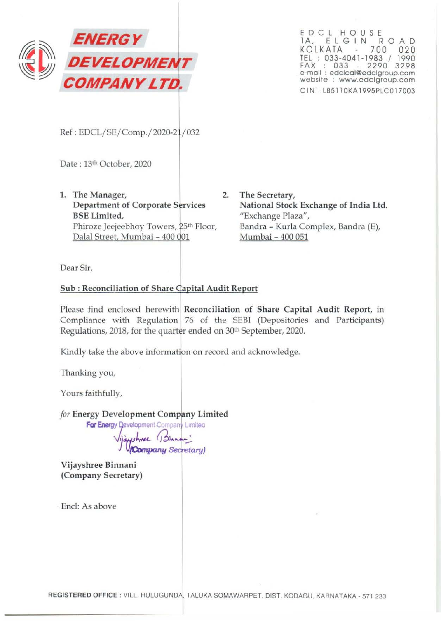

EDCL HOUSE 1A. E L G I N R 0 AD KOLKATA 700 020 TEL : 033-4041-1983 / 1990 FAX : 033 - 2290 3298 e-mail : edclcal@edclgroup.com website : www.edclgroup.com C IN': L851l OKA 1995PLCO 17003

Ref: EDCL/SE/Comp./2020-21/032

Date: 13<sup>th</sup> October, 2020

- 1. The Manager, 2. Department of Corporate Services The Manager,<br>Department of Corporate Services<br>BSE Limited,<br>Phiroze Jeejeebhov Towers, 25<sup>th</sup> Floo Phiroze Jeejeebhoy Towers, 25<sup>th</sup> Floor, Dalal Street, Mumbai - 400 001
	- The Secretary, National Stock Exchange of India Ltd. "Exchange Plaza", Sandra - Kurla Complex, Sandra (E), Mumbai - 400 051

Dear Sir,

### Sub : Reconciliation of Share Capital Audit Report

Please find enclosed herewith Reconciliation of Share Capital Audit Report, in Compliance with Regulation 76 of the SESI (Depositories and Participants) Regulations, 2018, for the quarter ended on 30<sup>th</sup> September, 2020.

Kindly take the above information on record and acknowledge.

Thanking you,

Yours faithfully,

for Energy Development Company Limited

For Energy Development Company Limited

J V(Oampany \_\_ *l\_tary)* 

Vijayshree Binnani (Company Secretary)

End: As above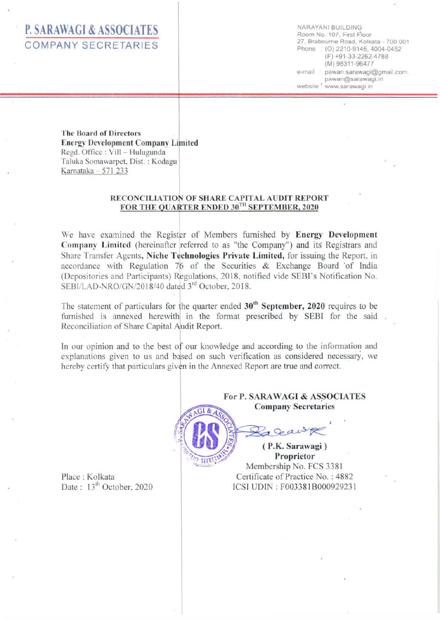# **P. SARAWAGI & ASSOCIATES**  COMPANY SECRETARIES

NARAYAN! BUILDING Room No. 107, First Floor 27, Brabourne Road, Kolkata- 700 001 Phone : (0) 2210-9146. 4004-0452 (F) +91-33-2262-4788 (M) 98311-96477 e-mail : pawan.sarawagi@gmail.com. pawan@sarawagi.in website : www.sarawagi.in

The Board of Directors Energy Development Company Limited Regd. Office: Vill - Hulugunda Taluka Somawarpet, Dist. : Kodagu Karnataka  $-571$  233

#### RECONCILIATION OF SHARE CAPITAL AUDIT REPORT FOR THE QUARTER ENDED 30TH SEPTEMBER, 2020

We have examined the Register of Members furnished by Energy Development Company Limited (hereinafter referred to as "the Company") and its Registrars and Share Transfer Agents, Niche Technologies Private Limited, for issuing the Report, in accordance with Regulation 76 of the Securities & Exchange Board 'of India (Depositories and Participants) Regulations, 2018, notified vide SEBI's Notification No. SEBI/LAD-NRO/GN/2018/40 dated  $3<sup>rd</sup>$  October, 2018.

The statement of particulars for the quarter ended  $30<sup>th</sup>$  September, 2020 requires to be furnished is annexed herewith in the format prescribed by SEBI for the said Reconciliation of Share Capital Audit Report.

In our opinion and to the best of our knowledge and according to the information and explanations given to us and based on such verification as considered necessary, we hereby certify that particulars given in the Annexed Report are true and correct.

#### For P. SARAWAGI & ASSOCIATES **Company Secretaries**

(P.K. Sarawagi) Proprietor Membership No. FCS 3381 Certificate of Practice No. : 4882 ICSI UDlN : F003381B000929231

Place : Kolkata Date: 13<sup>th</sup> October, 2020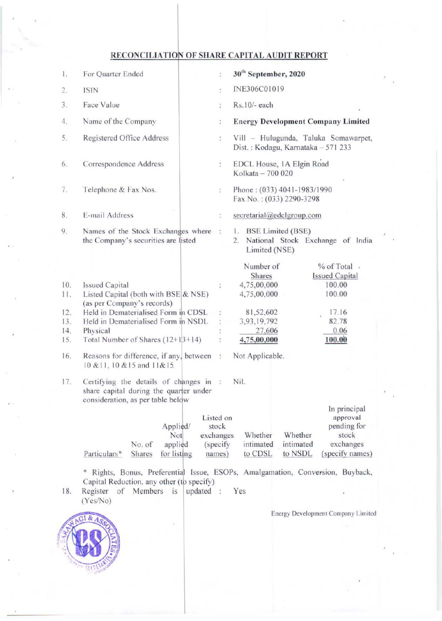## RECONCILIATION OF SHARE CAPITAL AUDIT REPORT

| 1.         | For Quarter Ended                                                                                                                                                          | t                                         | 30 <sup>th</sup> September, 2020                                             |                                                                                  |  |  |
|------------|----------------------------------------------------------------------------------------------------------------------------------------------------------------------------|-------------------------------------------|------------------------------------------------------------------------------|----------------------------------------------------------------------------------|--|--|
| 2.         | <b>ISIN</b>                                                                                                                                                                | ÷                                         | INE306C01019                                                                 |                                                                                  |  |  |
| 3.         | Face Value                                                                                                                                                                 | ÷                                         | Rs.10/- each                                                                 |                                                                                  |  |  |
| 4.         | Name of the Company                                                                                                                                                        | ř,                                        | <b>Energy Development Company Limited</b>                                    |                                                                                  |  |  |
| 5.         | Registered Office Address                                                                                                                                                  | ÷                                         | Vill - Hulugunda, Taluka Somawarpet,<br>Dist.: Kodagu, Karnataka - 571 233   |                                                                                  |  |  |
| 6.         | Correspondence Address                                                                                                                                                     | ÷,                                        | EDCL House, 1A Elgin Road<br>Kolkata - 700 020                               |                                                                                  |  |  |
| 7.         | Telephone & Fax Nos.                                                                                                                                                       | ¢.                                        | Phone: (033) 4041-1983/1990<br>Fax No.: (033) 2290-3298                      |                                                                                  |  |  |
| 8.         | E-mail Address                                                                                                                                                             | ţ.                                        | secretarial@edclgroup.com                                                    |                                                                                  |  |  |
| 9.         | Names of the Stock Exchanges where<br>the Company's securities are listed                                                                                                  | ř.                                        | 1. BSE Limited (BSE)<br>2. National Stock Exchange of India<br>Limited (NSE) |                                                                                  |  |  |
|            |                                                                                                                                                                            |                                           | Number of<br>Shares                                                          | % of Total.<br><b>Issued Capital</b>                                             |  |  |
| 10.<br>11. | <b>Issued Capital</b><br>Listed Capital (both with BSE & NSE)<br>(as per Company's records)                                                                                |                                           | 4,75,00,000<br>4,75,00,000                                                   | 100.00<br>100.00                                                                 |  |  |
| 12.        | Held in Dematerialised Form in CDSL                                                                                                                                        |                                           | 81,52,602                                                                    | 17.16                                                                            |  |  |
| 13.        | Held in Dematerialised Form in NSDL                                                                                                                                        |                                           | 3,93,19,792                                                                  | 82.78                                                                            |  |  |
| 14.<br>15. | Physical<br>Total Number of Shares (12+13+14)                                                                                                                              |                                           | 27,606<br>4,75,00,000                                                        | 0.06<br>100.00                                                                   |  |  |
| 16.        | Reasons for difference, if any, between :<br>Not Applicable.<br>10 & 11, 10 & 15 and 11 & 15.                                                                              |                                           |                                                                              |                                                                                  |  |  |
| 17.        | Certifying the details of changes in :<br>share capital during the quarter under<br>consideration, as per table below                                                      |                                           | Nil.                                                                         |                                                                                  |  |  |
|            | Applied/<br>Not<br>exchanges<br>applied<br>No. of<br>Particulars*<br>for listing<br>Shares<br>Rights, Bonus, Preferential Issue, ESOPs, Amalgamation, Conversion, Buyback, | Listed on<br>stock<br>(specify)<br>names) | Whether<br>Whether<br>intimated<br>intimated<br>to CDSL<br>to NSDL           | In principal<br>approval<br>pending for<br>stock<br>exchanges<br>(specify names) |  |  |
| 18         | Capital Reduction, any other (to specify)<br>Register of Members is undated                                                                                                |                                           | $V_{\rho c}$                                                                 |                                                                                  |  |  |

Register (Yes/No)

Energy Development Company Limited